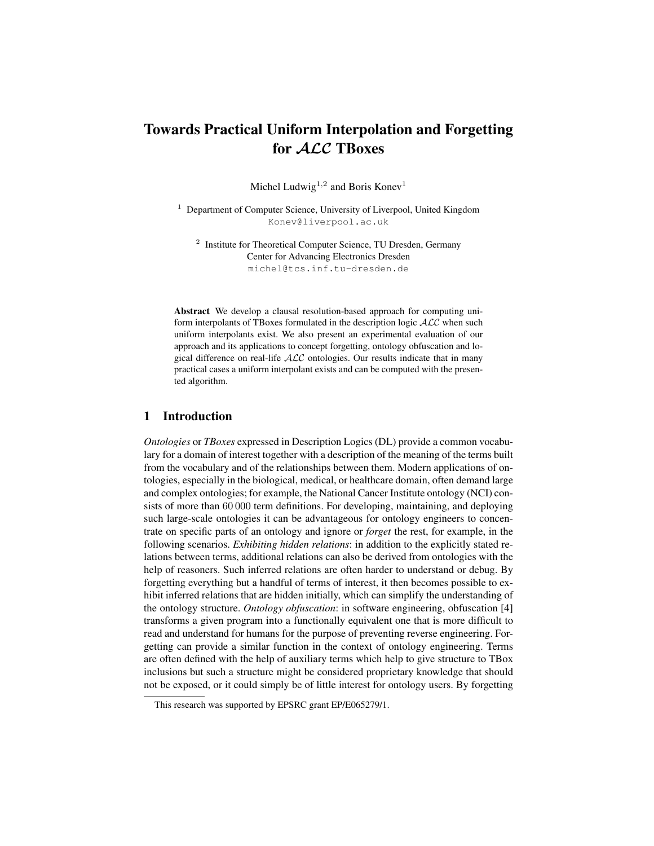# Towards Practical Uniform Interpolation and Forgetting for ALC TBoxes

Michel Ludwig<sup>1,2</sup> and Boris Konev<sup>1</sup>

<sup>1</sup> Department of Computer Science, University of Liverpool, United Kingdom Konev@liverpool.ac.uk

<sup>2</sup> Institute for Theoretical Computer Science, TU Dresden, Germany Center for Advancing Electronics Dresden michel@tcs.inf.tu-dresden.de

Abstract We develop a clausal resolution-based approach for computing uniform interpolants of TBoxes formulated in the description logic  $ALC$  when such uniform interpolants exist. We also present an experimental evaluation of our approach and its applications to concept forgetting, ontology obfuscation and logical difference on real-life  $ALC$  ontologies. Our results indicate that in many practical cases a uniform interpolant exists and can be computed with the presented algorithm.

# 1 Introduction

*Ontologies* or *TBoxes* expressed in Description Logics (DL) provide a common vocabulary for a domain of interest together with a description of the meaning of the terms built from the vocabulary and of the relationships between them. Modern applications of ontologies, especially in the biological, medical, or healthcare domain, often demand large and complex ontologies; for example, the National Cancer Institute ontology (NCI) consists of more than 60 000 term definitions. For developing, maintaining, and deploying such large-scale ontologies it can be advantageous for ontology engineers to concentrate on specific parts of an ontology and ignore or *forget* the rest, for example, in the following scenarios. *Exhibiting hidden relations*: in addition to the explicitly stated relations between terms, additional relations can also be derived from ontologies with the help of reasoners. Such inferred relations are often harder to understand or debug. By forgetting everything but a handful of terms of interest, it then becomes possible to exhibit inferred relations that are hidden initially, which can simplify the understanding of the ontology structure. *Ontology obfuscation*: in software engineering, obfuscation [4] transforms a given program into a functionally equivalent one that is more difficult to read and understand for humans for the purpose of preventing reverse engineering. Forgetting can provide a similar function in the context of ontology engineering. Terms are often defined with the help of auxiliary terms which help to give structure to TBox inclusions but such a structure might be considered proprietary knowledge that should not be exposed, or it could simply be of little interest for ontology users. By forgetting

This research was supported by EPSRC grant EP/E065279/1.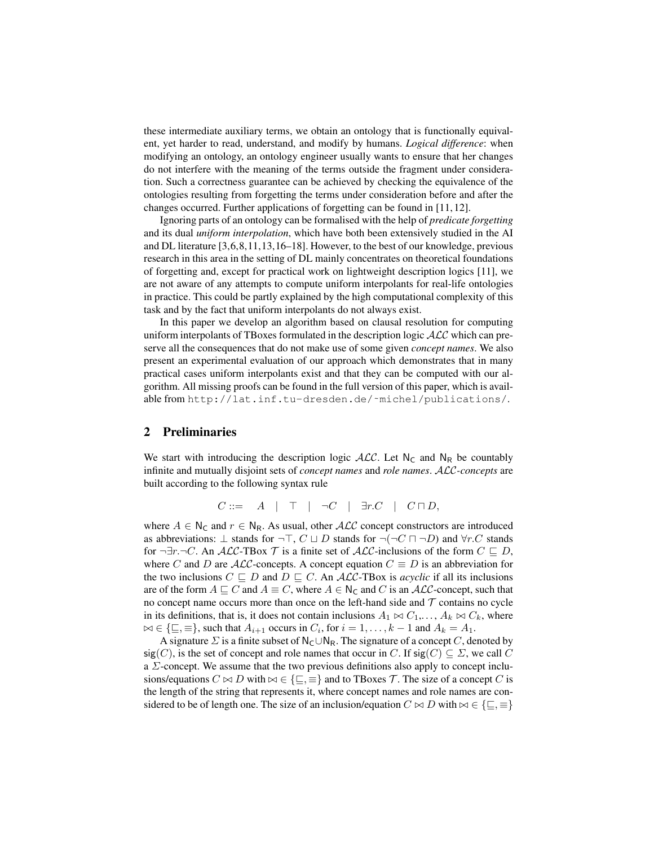these intermediate auxiliary terms, we obtain an ontology that is functionally equivalent, yet harder to read, understand, and modify by humans. *Logical difference*: when modifying an ontology, an ontology engineer usually wants to ensure that her changes do not interfere with the meaning of the terms outside the fragment under consideration. Such a correctness guarantee can be achieved by checking the equivalence of the ontologies resulting from forgetting the terms under consideration before and after the changes occurred. Further applications of forgetting can be found in [11, 12].

Ignoring parts of an ontology can be formalised with the help of *predicate forgetting* and its dual *uniform interpolation*, which have both been extensively studied in the AI and DL literature [3,6,8,11,13,16–18]. However, to the best of our knowledge, previous research in this area in the setting of DL mainly concentrates on theoretical foundations of forgetting and, except for practical work on lightweight description logics [11], we are not aware of any attempts to compute uniform interpolants for real-life ontologies in practice. This could be partly explained by the high computational complexity of this task and by the fact that uniform interpolants do not always exist.

In this paper we develop an algorithm based on clausal resolution for computing uniform interpolants of TBoxes formulated in the description logic  $\mathcal{ALC}$  which can preserve all the consequences that do not make use of some given *concept names*. We also present an experimental evaluation of our approach which demonstrates that in many practical cases uniform interpolants exist and that they can be computed with our algorithm. All missing proofs can be found in the full version of this paper, which is available from http://lat.inf.tu-dresden.de/~michel/publications/.

# 2 Preliminaries

We start with introducing the description logic  $ALC$ . Let N<sub>C</sub> and N<sub>R</sub> be countably infinite and mutually disjoint sets of *concept names* and *role names*. ALC*-concepts* are built according to the following syntax rule

$$
C ::= \quad A \quad | \quad \top \quad | \quad \neg C \quad | \quad \exists r.C \quad | \quad C \sqcap D,
$$

where  $A \in N_{\mathsf{C}}$  and  $r \in N_{\mathsf{R}}$ . As usual, other  $\mathcal{ALC}$  concept constructors are introduced as abbreviations:  $\bot$  stands for  $\neg \top, C \sqcup D$  stands for  $\neg(\neg C \sqcap \neg D)$  and  $\forall r.C$  stands for  $\neg \exists r.\neg C$ . An  $ALC$ -TBox  $\mathcal T$  is a finite set of  $ALC$ -inclusions of the form  $C \sqsubseteq D$ , where C and D are  $\mathcal{ALC}$ -concepts. A concept equation  $C \equiv D$  is an abbreviation for the two inclusions  $C \sqsubseteq D$  and  $D \sqsubseteq C$ . An ALC-TBox is *acyclic* if all its inclusions are of the form  $A \sqsubseteq C$  and  $A \equiv C$ , where  $A \in N_C$  and C is an ALC-concept, such that no concept name occurs more than once on the left-hand side and  $\mathcal T$  contains no cycle in its definitions, that is, it does not contain inclusions  $A_1 \bowtie C_1, \ldots, A_k \bowtie C_k$ , where  $\bowtie \in \{\sqsubseteq, \equiv\}$ , such that  $A_{i+1}$  occurs in  $C_i$ , for  $i = 1, \ldots, k-1$  and  $A_k = A_1$ .

A signature  $\Sigma$  is a finite subset of N<sub>C</sub>∪N<sub>R</sub>. The signature of a concept C, denoted by  $sig(C)$ , is the set of concept and role names that occur in C. If  $sig(C) \subseteq \Sigma$ , we call C a  $\Sigma$ -concept. We assume that the two previous definitions also apply to concept inclusions/equations  $C \bowtie D$  with  $\bowtie \in \{\sqsubseteq, \equiv\}$  and to TBoxes T. The size of a concept C is the length of the string that represents it, where concept names and role names are considered to be of length one. The size of an inclusion/equation  $C \bowtie D$  with  $\bowtie \in \{\sqsubseteq, \equiv\}$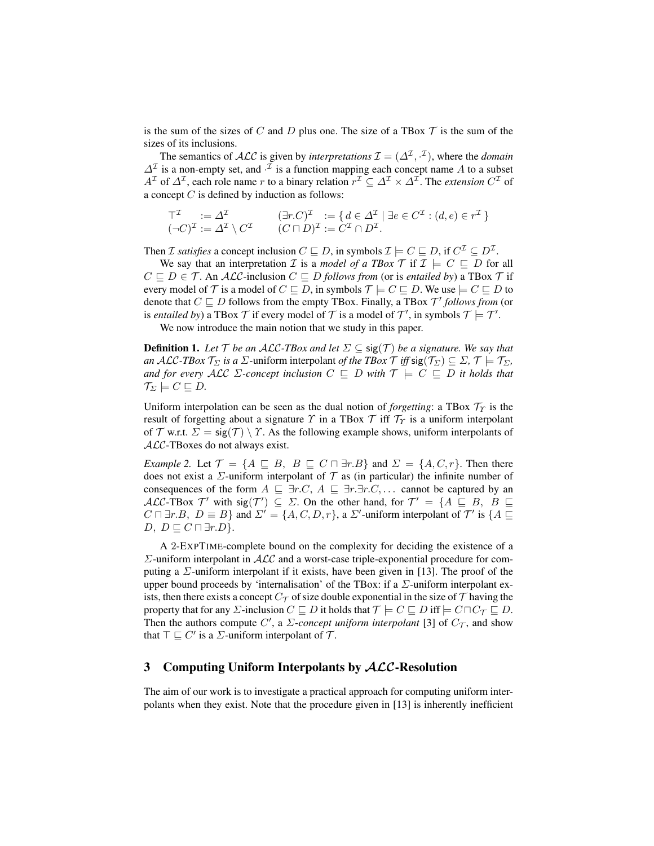is the sum of the sizes of C and D plus one. The size of a TBox  $\mathcal T$  is the sum of the sizes of its inclusions.

The semantics of  $\cal{ALC}$  is given by *interpretations*  $\mathcal{I} = (\Delta^{\mathcal{I}}, \cdot^{\mathcal{I}})$ , where the *domain*  $\Delta^{\mathcal{I}}$  is a non-empty set, and  $\cdot^{\mathcal{I}}$  is a function mapping each concept name A to a subset  $A^{\mathcal{I}}$  of  $\Delta^{\mathcal{I}}$ , each role name r to a binary relation  $r^{\mathcal{I}} \subseteq \Delta^{\mathcal{I}} \times \Delta^{\mathcal{I}}$ . The *extension*  $C^{\mathcal{I}}$  of a concept  $C$  is defined by induction as follows:

$$
\begin{aligned}\n\top^{\mathcal{I}} &:= \Delta^{\mathcal{I}} \\
(\neg C)^{\mathcal{I}} &:= \Delta^{\mathcal{I}} \setminus C^{\mathcal{I}} \\
&=(C \sqcap D)^{\mathcal{I}} := C^{\mathcal{I}} \cap D^{\mathcal{I}}.\n\end{aligned}
$$

Then *I* satisfies a concept inclusion  $C \sqsubseteq D$ , in symbols  $\mathcal{I} \models C \sqsubseteq D$ , if  $C^{\mathcal{I}} \subseteq D^{\mathcal{I}}$ .

We say that an interpretation *I* is a *model of a TBox T* if  $I \models C \sqsubseteq D$  for all  $C \sqsubseteq D \in \mathcal{T}$ . An *ALC*-inclusion  $C \sqsubseteq D$  *follows from* (or is *entailed by*) a TBox  $\mathcal{T}$  if every model of T is a model of  $C \sqsubseteq D$ , in symbols  $\mathcal{T} \models C \sqsubseteq D$ . We use  $\models C \sqsubseteq D$  to denote that  $C \sqsubseteq D$  follows from the empty TBox. Finally, a TBox  $\mathcal{T}'$  follows from (or is *entailed by*) a TBox  $\mathcal T$  if every model of  $\mathcal T$  is a model of  $\mathcal T'$ , in symbols  $\mathcal T \models \mathcal T'.$ 

We now introduce the main notion that we study in this paper.

**Definition 1.** Let  $\mathcal{T}$  be an ALC-TBox and let  $\Sigma \subseteq \text{sig}(\mathcal{T})$  be a signature. We say that *an* ALC-TBox  $\mathcal{T}_{\Sigma}$  *is a*  $\Sigma$ -uniform interpolant *of the TBox*  $\mathcal{T}$  *iff* sig( $\mathcal{T}_{\Sigma}$ )  $\subseteq \Sigma$ ,  $\mathcal{T} \models \mathcal{T}_{\Sigma}$ , *and for every ALC*  $\Sigma$ *-concept inclusion*  $C \subseteq D$  *with*  $\mathcal{T} \models C \subseteq D$  *it holds that*  $\mathcal{T}_{\Sigma} \models C \sqsubseteq D.$ 

Uniform interpolation can be seen as the dual notion of *forgetting*: a TBox  $\mathcal{T}_\gamma$  is the result of forgetting about a signature  $\gamma$  in a TBox  $\mathcal T$  iff  $\mathcal T_\gamma$  is a uniform interpolant of T w.r.t.  $\Sigma = \text{sig}(\mathcal{T}) \setminus \mathcal{T}$ . As the following example shows, uniform interpolants of ALC-TBoxes do not always exist.

*Example 2.* Let  $\mathcal{T} = \{A \sqsubseteq B, B \sqsubseteq C \sqcap \exists r.B\}$  and  $\Sigma = \{A, C, r\}$ . Then there does not exist a  $\Sigma$ -uniform interpolant of  $\mathcal T$  as (in particular) the infinite number of consequences of the form  $A \subseteq \exists r.C, A \subseteq \exists r.\exists r.C, \dots$  cannot be captured by an ALC-TBox  $\mathcal{T}'$  with sig( $\mathcal{T}'$ )  $\subseteq \Sigma$ . On the other hand, for  $\mathcal{T}' = \{A \sqsubseteq B, B \sqsubseteq A\}$  $C \sqcap \exists r.B, D \equiv B$  and  $\Sigma' = \{A, C, D, r\}$ , a  $\Sigma'$ -uniform interpolant of  $\mathcal{T}'$  is  $\{A \sqsubseteq$  $D, D \sqsubseteq C \sqcap \exists r.D$ .

A 2-EXPTIME-complete bound on the complexity for deciding the existence of a  $\Sigma$ -uniform interpolant in  $\mathcal{ALC}$  and a worst-case triple-exponential procedure for computing a  $\Sigma$ -uniform interpolant if it exists, have been given in [13]. The proof of the upper bound proceeds by 'internalisation' of the TBox: if a  $\Sigma$ -uniform interpolant exists, then there exists a concept  $C_{\mathcal{T}}$  of size double exponential in the size of  $\mathcal{T}$  having the property that for any  $\Sigma$ -inclusion  $C \sqsubseteq D$  it holds that  $\mathcal{T} \models C \sqsubseteq D$  iff  $\models C \sqcap C_{\mathcal{T}} \sqsubseteq D$ . Then the authors compute C', a  $\Sigma$ -concept uniform interpolant [3] of  $C_{\mathcal{T}}$ , and show that  $\top \sqsubseteq C'$  is a  $\Sigma$ -uniform interpolant of  $\mathcal{T}$ .

# 3 Computing Uniform Interpolants by ALC-Resolution

The aim of our work is to investigate a practical approach for computing uniform interpolants when they exist. Note that the procedure given in [13] is inherently inefficient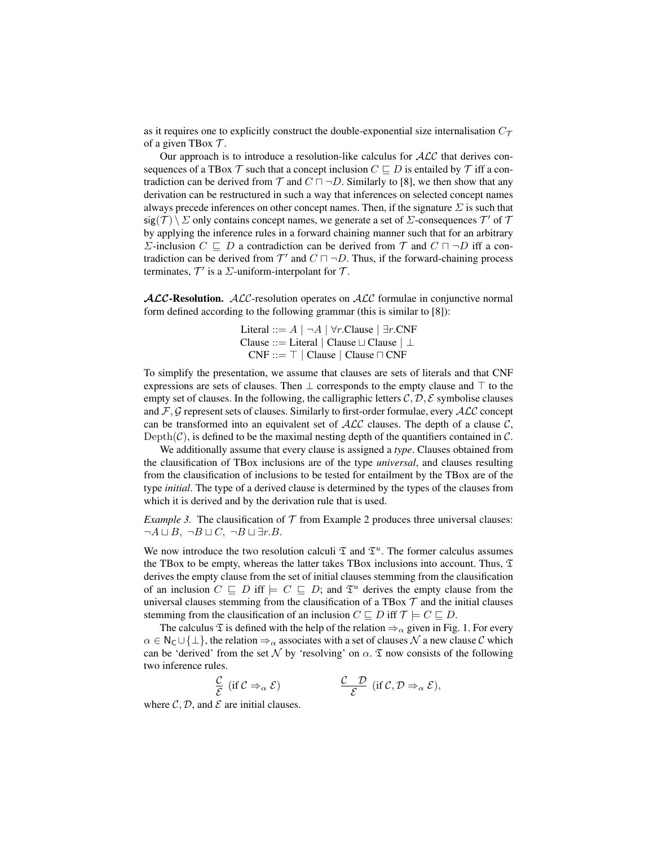as it requires one to explicitly construct the double-exponential size internalisation  $C_{\mathcal{T}}$ of a given TBox  $\mathcal{T}$ .

Our approach is to introduce a resolution-like calculus for  $ALC$  that derives consequences of a TBox  $\mathcal T$  such that a concept inclusion  $C \sqsubseteq D$  is entailed by  $\mathcal T$  iff a contradiction can be derived from  $\mathcal T$  and  $C \sqcap \neg D$ . Similarly to [8], we then show that any derivation can be restructured in such a way that inferences on selected concept names always precede inferences on other concept names. Then, if the signature  $\Sigma$  is such that sig(T)  $\setminus \Sigma$  only contains concept names, we generate a set of  $\Sigma$ -consequences  $\mathcal{T}'$  of  $\mathcal{T}$ by applying the inference rules in a forward chaining manner such that for an arbitrary Σ-inclusion  $C \subseteq D$  a contradiction can be derived from  $\mathcal T$  and  $C \sqcap \neg D$  iff a contradiction can be derived from  $\mathcal{T}'$  and  $C \sqcap \neg D$ . Thus, if the forward-chaining process terminates,  $\mathcal{T}'$  is a  $\Sigma$ -uniform-interpolant for  $\mathcal{T}$ .

**ALC-Resolution.** ALC-resolution operates on ALC formulae in conjunctive normal form defined according to the following grammar (this is similar to [8]):

> Literal ::= A | ¬A | ∀r.Clause | ∃r.CNF Clause ::= Literal | Clause  $\perp$  Clause  $\perp$  $CNF ::= \top |$  Clause | Clause  $\sqcap CNF$

To simplify the presentation, we assume that clauses are sets of literals and that CNF expressions are sets of clauses. Then  $\perp$  corresponds to the empty clause and  $\top$  to the empty set of clauses. In the following, the calligraphic letters  $C, D, E$  symbolise clauses and  $\mathcal{F}, \mathcal{G}$  represent sets of clauses. Similarly to first-order formulae, every  $\mathcal{ALC}$  concept can be transformed into an equivalent set of  $\text{ALC}$  clauses. The depth of a clause C, Depth(C), is defined to be the maximal nesting depth of the quantifiers contained in  $\mathcal{C}$ .

We additionally assume that every clause is assigned a *type*. Clauses obtained from the clausification of TBox inclusions are of the type *universal*, and clauses resulting from the clausification of inclusions to be tested for entailment by the TBox are of the type *initial*. The type of a derived clause is determined by the types of the clauses from which it is derived and by the derivation rule that is used.

*Example 3.* The clausification of  $T$  from Example 2 produces three universal clauses:  $\neg A \sqcup B$ ,  $\neg B \sqcup C$ ,  $\neg B \sqcup \exists r.B$ .

We now introduce the two resolution calculi  $\mathfrak T$  and  $\mathfrak T^u$ . The former calculus assumes the TBox to be empty, whereas the latter takes TBox inclusions into account. Thus,  $\mathfrak T$ derives the empty clause from the set of initial clauses stemming from the clausification of an inclusion  $C \subseteq D$  iff  $\models C \subseteq D$ ; and  $\mathfrak{T}^u$  derives the empty clause from the universal clauses stemming from the clausification of a TBox  $\mathcal T$  and the initial clauses stemming from the clausification of an inclusion  $C \sqsubseteq D$  iff  $\mathcal{T} \models C \sqsubseteq D$ .

The calculus  $\mathfrak T$  is defined with the help of the relation  $\Rightarrow_\alpha$  given in Fig. 1. For every  $\alpha \in \mathsf{N}_{\mathsf{C}} \cup \{\perp\}$ , the relation  $\Rightarrow_{\alpha}$  associates with a set of clauses N a new clause C which can be 'derived' from the set N by 'resolving' on  $\alpha$ .  $\mathfrak T$  now consists of the following two inference rules.

$$
\frac{\mathcal{C}}{\mathcal{E}} \text{ (if } \mathcal{C} \Rightarrow_{\alpha} \mathcal{E} \text{)} \qquad \qquad \frac{\mathcal{C}}{\mathcal{E}} \text{ (if } \mathcal{C}, \mathcal{D} \Rightarrow_{\alpha} \mathcal{E} \text{)},
$$

where  $\mathcal{C}, \mathcal{D}$ , and  $\mathcal{E}$  are initial clauses.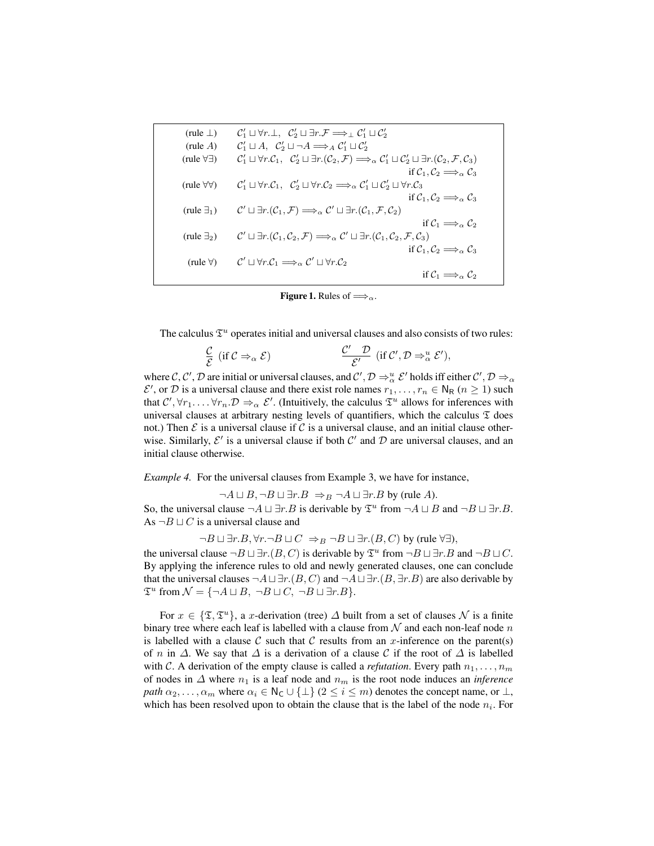| (rule $\perp$ )           | $\mathcal{C}_1' \sqcup \forall r \perp, \ \mathcal{C}_2' \sqcup \exists r \ldotp \mathcal{F} \Longrightarrow_{\perp} \mathcal{C}_1' \sqcup \mathcal{C}_2'$                                                                              |
|---------------------------|-----------------------------------------------------------------------------------------------------------------------------------------------------------------------------------------------------------------------------------------|
| (rule $A$ )               | $\mathcal{C}_1' \sqcup A$ , $\mathcal{C}_2' \sqcup \neg A \Longrightarrow_A \mathcal{C}_1' \sqcup \mathcal{C}_2'$                                                                                                                       |
| (rule $\forall \exists$ ) | $\mathcal{C}'_1 \sqcup \forall r.\mathcal{C}_1, \ \mathcal{C}'_2 \sqcup \exists r.(\mathcal{C}_2,\mathcal{F}) \Longrightarrow_{\alpha} \mathcal{C}'_1 \sqcup \mathcal{C}'_2 \sqcup \exists r.(\mathcal{C}_2,\mathcal{F},\mathcal{C}_3)$ |
|                           | if $C_1, C_2 \Longrightarrow_\alpha C_3$                                                                                                                                                                                                |
| (rule $\forall \forall$ ) | $\mathcal{C}_1' \sqcup \forall r.\mathcal{C}_1, \ \mathcal{C}_2' \sqcup \forall r.\mathcal{C}_2 \Longrightarrow_\alpha \mathcal{C}_1' \sqcup \mathcal{C}_2' \sqcup \forall r.\mathcal{C}_3$                                             |
|                           | if $C_1, C_2 \Longrightarrow_{\alpha} C_3$                                                                                                                                                                                              |
| (rule $\exists_1$ )       | $\mathcal{C}' \sqcup \exists r.(\mathcal{C}_1,\mathcal{F}) \Longrightarrow_{\alpha} \mathcal{C}' \sqcup \exists r.(\mathcal{C}_1,\mathcal{F},\mathcal{C}_2)$                                                                            |
|                           | if $C_1 \Longrightarrow_{\alpha} C_2$                                                                                                                                                                                                   |
| (rule $\exists_2$ )       | $\mathcal{C}' \sqcup \exists r.(\mathcal{C}_1,\mathcal{C}_2,\mathcal{F}) \Longrightarrow_{\alpha} \mathcal{C}' \sqcup \exists r.(\mathcal{C}_1,\mathcal{C}_2,\mathcal{F},\mathcal{C}_3)$                                                |
|                           | if $C_1, C_2 \Longrightarrow_\alpha C_3$                                                                                                                                                                                                |
| (rule $\forall$ )         | $\mathcal{C}' \sqcup \forall r.\mathcal{C}_1 \Longrightarrow_{\alpha} \mathcal{C}' \sqcup \forall r.\mathcal{C}_2$                                                                                                                      |
|                           | if $C_1 \Longrightarrow_{\alpha} C_2$                                                                                                                                                                                                   |

**Figure 1.** Rules of  $\Longrightarrow_{\alpha}$ .

The calculus  $\mathfrak{T}^u$  operates initial and universal clauses and also consists of two rules:

$$
\frac{\mathcal{C}}{\mathcal{E}} \text{ (if } \mathcal{C} \Rightarrow_{\alpha} \mathcal{E} \text{)} \qquad \qquad \frac{\mathcal{C}'}{\mathcal{E}'} \text{ (if } \mathcal{C}', \mathcal{D} \Rightarrow_{\alpha}^{u} \mathcal{E}',
$$

where C, C', D are initial or universal clauses, and  $C', D \Rightarrow_{\alpha}^u \mathcal{E}'$  holds iff either  $C', D \Rightarrow_{\alpha}$  $\mathcal{E}'$ , or  $\mathcal D$  is a universal clause and there exist role names  $r_1, \ldots, r_n \in \mathsf{N}_{\mathsf{R}}$   $(n \geq 1)$  such that  $C', \forall r_1, \ldots, \forall r_n, D \Rightarrow_{\alpha} \mathcal{E}'.$  (Intuitively, the calculus  $\mathfrak{T}^u$  allows for inferences with universal clauses at arbitrary nesting levels of quantifiers, which the calculus  $\mathfrak T$  does not.) Then  $\mathcal E$  is a universal clause if  $\mathcal C$  is a universal clause, and an initial clause otherwise. Similarly,  $\mathcal{E}'$  is a universal clause if both  $\mathcal{C}'$  and  $\mathcal{D}$  are universal clauses, and an initial clause otherwise.

*Example 4.* For the universal clauses from Example 3, we have for instance,

 $\neg A \sqcup B$ ,  $\neg B \sqcup \exists r.B \Rightarrow_B \neg A \sqcup \exists r.B$  by (rule A).

So, the universal clause  $\neg A \sqcup \exists r.B$  is derivable by  $\mathfrak{T}^u$  from  $\neg A \sqcup B$  and  $\neg B \sqcup \exists r.B$ . As  $\neg B \sqcup C$  is a universal clause and

 $\neg B \sqcup \exists r.B, \forall r.\neg B \sqcup C \Rightarrow_B \neg B \sqcup \exists r.(B, C)$  by (rule  $\forall \exists$ ),

the universal clause  $\neg B \sqcup \exists r.(B, C)$  is derivable by  $\mathfrak{T}^u$  from  $\neg B \sqcup \exists r.B$  and  $\neg B \sqcup C$ . By applying the inference rules to old and newly generated clauses, one can conclude that the universal clauses  $\neg A \sqcup \exists r.(B, C)$  and  $\neg A \sqcup \exists r.(B, \exists r.B)$  are also derivable by  $\mathfrak{T}^u$  from  $\mathcal{N} = \{\neg A \sqcup B, \neg B \sqcup C, \neg B \sqcup \exists r.B\}.$ 

For  $x \in \{\mathfrak{T}, \mathfrak{T}^u\}$ , a x-derivation (tree)  $\Delta$  built from a set of clauses  $\mathcal N$  is a finite binary tree where each leaf is labelled with a clause from  $\mathcal N$  and each non-leaf node n is labelled with a clause C such that C results from an x-inference on the parent(s) of n in  $\Delta$ . We say that  $\Delta$  is a derivation of a clause C if the root of  $\Delta$  is labelled with C. A derivation of the empty clause is called a *refutation*. Every path  $n_1, \ldots, n_m$ of nodes in  $\Delta$  where  $n_1$  is a leaf node and  $n_m$  is the root node induces an *inference path*  $\alpha_2, \ldots, \alpha_m$  where  $\alpha_i \in \mathbb{N}_{\mathsf{C}} \cup \{\perp\}$  ( $2 \leq i \leq m$ ) denotes the concept name, or  $\perp$ , which has been resolved upon to obtain the clause that is the label of the node  $n_i$ . For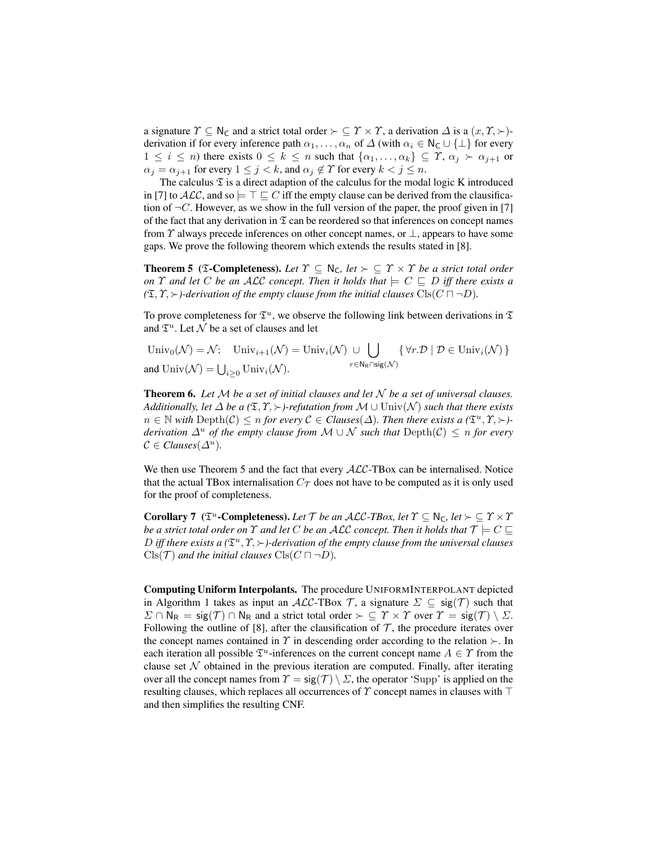a signature  $\Upsilon \subseteq \mathbb{N}_{\mathsf{C}}$  and a strict total order  $\succ \subseteq \Upsilon \times \Upsilon$ , a derivation  $\Delta$  is a  $(x, \Upsilon, \succ)$ derivation if for every inference path  $\alpha_1, \ldots, \alpha_n$  of  $\Delta$  (with  $\alpha_i \in \mathsf{N}_\mathsf{C} \cup \{\perp\}$  for every  $1 \leq i \leq n$ ) there exists  $0 \leq k \leq n$  such that  $\{\alpha_1, \ldots, \alpha_k\} \subseteq \varUpsilon$ ,  $\alpha_j \succ \alpha_{j+1}$  or  $\alpha_j = \alpha_{j+1}$  for every  $1 \leq j < k$ , and  $\alpha_j \notin \Upsilon$  for every  $k < j \leq n$ .

The calculus  $\mathfrak T$  is a direct adaption of the calculus for the modal logic K introduced in [7] to  $ALC$ , and so  $\models \top \sqsubseteq C$  iff the empty clause can be derived from the clausification of  $\neg C$ . However, as we show in the full version of the paper, the proof given in [7] of the fact that any derivation in  $\mathfrak T$  can be reordered so that inferences on concept names from  $\gamma$  always precede inferences on other concept names, or  $\bot$ , appears to have some gaps. We prove the following theorem which extends the results stated in [8].

**Theorem 5** (**T-Completeness**). Let  $\Upsilon \subseteq \mathbb{N}_C$ , let  $\succ \subseteq \Upsilon \times \Upsilon$  be a strict total order *on*  $\Upsilon$  *and let*  $C$  *be an ALC concept. Then it holds that*  $\models C \sqsubseteq D$  *iff there exists a*  $(\mathfrak{T}, \Upsilon, \succ)$ -derivation of the empty clause from the initial clauses  $\text{Cls}(C \sqcap \neg D)$ .

To prove completeness for  $\mathfrak{T}^u$ , we observe the following link between derivations in  $\mathfrak{T}$ and  $\mathfrak{T}^u$ . Let  $\mathcal N$  be a set of clauses and let

Univ<sub>0</sub>( $\mathcal{N}$ ) =  $\mathcal{N}$ ; Univ<sub>i+1</sub>( $\mathcal{N}$ ) = Univ<sub>i</sub>( $\mathcal{N}$ ) ∪  $\bigcup$  $r \in \mathsf{N}_{\mathsf{R}} \cap \mathsf{sig}(\mathcal{N})$  $\{\forall r.\mathcal{D} \mid \mathcal{D} \in \text{Univ}_i(\mathcal{N})\}$ and  $\text{Univ}(\mathcal{N}) = \bigcup_{i \geq 0} \text{Univ}_i(\mathcal{N}).$ 

**Theorem 6.** Let  $M$  be a set of initial clauses and let  $N$  be a set of universal clauses. *Additionally, let*  $\Delta$  *be a* ( $\mathfrak{T}, \mathfrak{S}$ )-*refutation from*  $\mathcal{M} \cup \text{Univ}(\mathcal{N})$  *such that there exists*  $n \in \mathbb{N}$  with  $\text{Depth}(\mathcal{C}) \leq n$  for every  $\mathcal{C} \in \text{Classes}(\Delta)$ . Then there exists a  $(\mathfrak{T}^u, \mathcal{T}, \succ)$ *derivation*  $\Delta^u$  *of the empty clause from*  $M \cup N$  *such that*  $Depth(\mathcal{C}) \leq n$  *for every*  $C \in Clauses(\Delta^u)$ .

We then use Theorem 5 and the fact that every  $ALC$ -TBox can be internalised. Notice that the actual TBox internalisation  $C_{\mathcal{T}}$  does not have to be computed as it is only used for the proof of completeness.

**Corollary 7** ( $\mathfrak{T}^u$ **-Completeness).** Let T be an ALC-TBox, let  $\Upsilon \subseteq \mathbb{N}_C$ , let  $\succ \subseteq \Upsilon \times \Upsilon$ *be a strict total order on*  $\Upsilon$  *and let*  $C$  *be an ALC concept. Then it holds that*  $\mathcal{T} \models C \sqsubseteq$ D iff there exists a  $(\mathfrak{T}^u, \mathfrak{T}, \succ)$ -derivation of the empty clause from the universal clauses  $Cls(\mathcal{T})$  *and the initial clauses*  $Cls(C \sqcap \neg D)$ *.* 

Computing Uniform Interpolants. The procedure UNIFORMINTERPOLANT depicted in Algorithm 1 takes as input an ALC-TBox T, a signature  $\Sigma \subseteq \text{sig}(\mathcal{T})$  such that  $\Sigma \cap N_R = \text{sig}(\mathcal{T}) \cap N_R$  and a strict total order  $\succ \subseteq \Upsilon \times \Upsilon$  over  $\Upsilon = \text{sig}(\mathcal{T}) \setminus \Sigma$ . Following the outline of [8], after the clausification of  $\mathcal T$ , the procedure iterates over the concept names contained in  $\gamma$  in descending order according to the relation  $\succ$ . In each iteration all possible  $\mathfrak{T}^u$ -inferences on the current concept name  $A \in \Upsilon$  from the clause set  $N$  obtained in the previous iteration are computed. Finally, after iterating over all the concept names from  $\Upsilon = \text{sig}(\mathcal{T}) \setminus \Sigma$ , the operator 'Supp' is applied on the resulting clauses, which replaces all occurrences of  $\Upsilon$  concept names in clauses with  $\top$ and then simplifies the resulting CNF.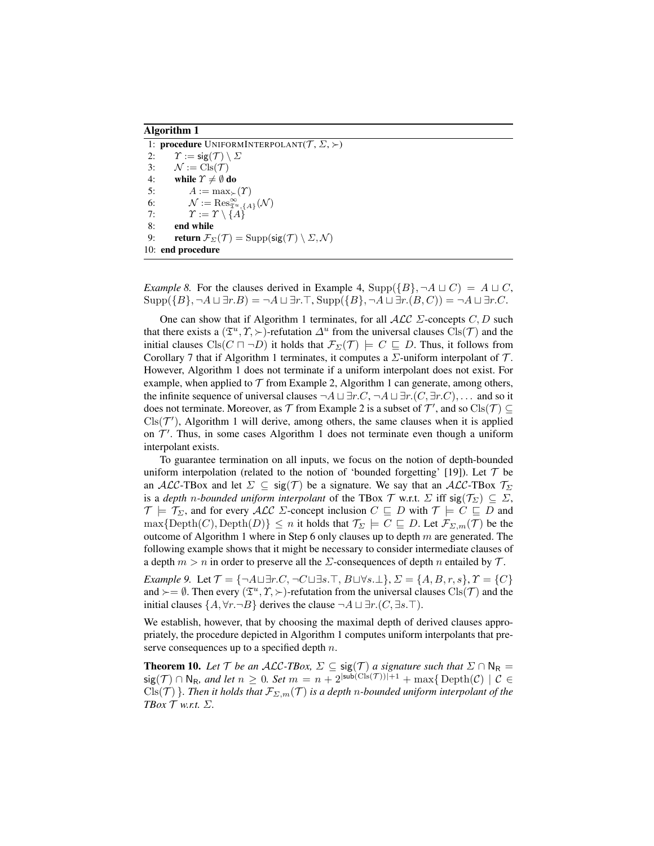#### Algorithm 1

1: procedure UNIFORMINTERPOLANT $(T, \Sigma, \succ)$ 2:  $\Upsilon := \mathsf{sig}(\mathcal{T}) \setminus \Sigma$ 3:  $\mathcal{N} := \text{Cls}(\mathcal{T})$ 4: while  $\Upsilon \neq \emptyset$  do 5:  $A := \max_{\succ}(\Upsilon)$ 6:  $\mathcal{N} := \text{Res}_{\mathfrak{T}^u, \{A\}}^{\infty}(\mathcal{N})$ 7:  $\Upsilon := \Upsilon \setminus \{A\}$ 8: end while 9: **return**  $\mathcal{F}_{\Sigma}(\mathcal{T}) = \text{Supp}(\text{sig}(\mathcal{T}) \setminus \Sigma, \mathcal{N})$ 10: end procedure

*Example 8.* For the clauses derived in Example 4,  $\text{Supp}(\{B\}, \neg A \sqcup C) = A \sqcup C$ ,  $Supp({B}, \neg A \sqcup \exists r.B) = \neg A \sqcup \exists r.\top, \, Supp({B}, \neg A \sqcup \exists r.(B, C)) = \neg A \sqcup \exists r.C.$ 

One can show that if Algorithm 1 terminates, for all  $\mathcal{ALC}$   $\Sigma$ -concepts  $C, D$  such that there exists a  $(\mathfrak{T}^u, \mathfrak{T}, \succ)$ -refutation  $\Delta^u$  from the universal clauses  $\text{Cls}(\mathcal{T})$  and the initial clauses  $Cls(C \sqcap \neg D)$  it holds that  $\mathcal{F}_{\Sigma}(\mathcal{T}) \models C \sqsubseteq D$ . Thus, it follows from Corollary 7 that if Algorithm 1 terminates, it computes a  $\Sigma$ -uniform interpolant of  $\mathcal T$ . However, Algorithm 1 does not terminate if a uniform interpolant does not exist. For example, when applied to  $\mathcal T$  from Example 2, Algorithm 1 can generate, among others, the infinite sequence of universal clauses  $\neg A \sqcup \exists r.C, \neg A \sqcup \exists r.(C, \exists r.C), \dots$  and so it does not terminate. Moreover, as  $\mathcal T$  from Example 2 is a subset of  $\mathcal T'$ , and so  $\mathrm{Cls}(\mathcal T)\subseteq$  $\text{Cls}(\mathcal{T}')$ , Algorithm 1 will derive, among others, the same clauses when it is applied on  $\mathcal{T}'$ . Thus, in some cases Algorithm 1 does not terminate even though a uniform interpolant exists.

To guarantee termination on all inputs, we focus on the notion of depth-bounded uniform interpolation (related to the notion of 'bounded forgetting' [19]). Let  $\mathcal T$  be an ALC-TBox and let  $\Sigma \subseteq \text{sig}(\mathcal{T})$  be a signature. We say that an ALC-TBox  $\mathcal{T}_{\Sigma}$ is a *depth n*-bounded uniform interpolant of the TBox  $\mathcal T$  w.r.t.  $\Sigma$  iff sig( $\mathcal T_{\Sigma}$ )  $\subseteq \Sigma$ ,  $\mathcal{T} \models \mathcal{T}_{\Sigma}$ , and for every  $\mathcal{ALC}$   $\Sigma$ -concept inclusion  $C \subseteq D$  with  $\mathcal{T} \models C \subseteq D$  and  $\max\{\text{Depth}(C),\text{Depth}(D)\}\leq n$  it holds that  $\mathcal{T}_{\Sigma}\models C\sqsubseteq D$ . Let  $\mathcal{F}_{\Sigma,m}(\mathcal{T})$  be the outcome of Algorithm 1 where in Step 6 only clauses up to depth  $m$  are generated. The following example shows that it might be necessary to consider intermediate clauses of a depth  $m > n$  in order to preserve all the  $\Sigma$ -consequences of depth n entailed by  $\mathcal{T}$ .

*Example 9.* Let  $\mathcal{T} = \{\neg A \sqcup \exists r.C, \neg C \sqcup \exists s.\top, B \sqcup \forall s.\bot\}, \Sigma = \{A, B, r, s\}, \mathcal{T} = \{C\}$ and  $\succ = \emptyset$ . Then every  $(\mathfrak{T}^u, \mathfrak{T}, \succ)$ -refutation from the universal clauses  $\text{Cls}(\mathcal{T})$  and the initial clauses  $\{A, \forall r. \neg B\}$  derives the clause  $\neg A \sqcup \exists r. (C, \exists s.\top).$ 

We establish, however, that by choosing the maximal depth of derived clauses appropriately, the procedure depicted in Algorithm 1 computes uniform interpolants that preserve consequences up to a specified depth  $n$ .

**Theorem 10.** Let  $\mathcal T$  be an ALC-TBox,  $\Sigma \subseteq \text{sig}(\mathcal T)$  a signature such that  $\Sigma \cap \mathbb N_R =$  $sig(\mathcal{T}) \cap \mathsf{N}_{\mathsf{R}}$ *, and let*  $n \geq 0$ *. Set*  $m = n + 2^{|sub(\mathsf{Cis}(\mathcal{T}))|+1} + \max\{\mathrm{Depth}(\mathcal{C}) \mid \mathcal{C} \in \mathcal{C}\}$  $Cls(\mathcal{T})$  }*. Then it holds that*  $\mathcal{F}_{\Sigma,m}(\mathcal{T})$  *is a depth n-bounded uniform interpolant of the TBox* T *w.r.t.* Σ*.*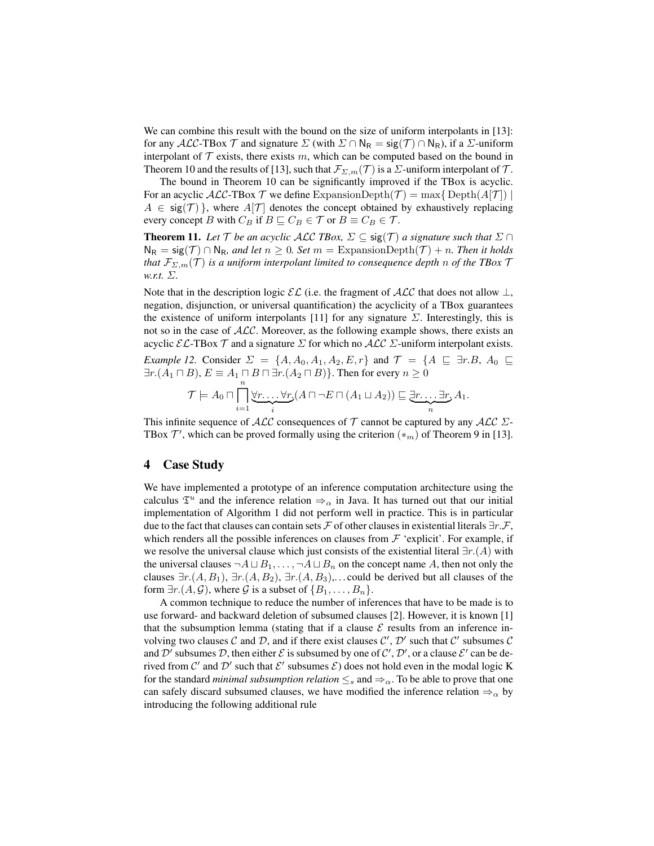We can combine this result with the bound on the size of uniform interpolants in [13]: for any ALC-TBox  $\mathcal T$  and signature  $\Sigma$  (with  $\Sigma \cap N_R = \mathsf{sig}(\mathcal T) \cap N_R$ ), if a  $\Sigma$ -uniform interpolant of  $\mathcal T$  exists, there exists  $m$ , which can be computed based on the bound in Theorem 10 and the results of [13], such that  $\mathcal{F}_{\Sigma,m}(\mathcal{T})$  is a  $\Sigma$ -uniform interpolant of  $\mathcal{T}$ .

The bound in Theorem 10 can be significantly improved if the TBox is acyclic. For an acyclic  $ALC$ -TBox  $\mathcal T$  we define ExpansionDepth( $\mathcal T$ ) = max{ Depth( $A[\mathcal T]$ ) |  $A \in \text{sig}(\mathcal{T})$ , where  $A[\mathcal{T}]$  denotes the concept obtained by exhaustively replacing every concept B with  $C_B$  if  $B \sqsubseteq C_B \in \mathcal{T}$  or  $B \equiv C_B \in \mathcal{T}$ .

**Theorem 11.** Let  $\mathcal T$  be an acyclic ALC *TBox,*  $\Sigma \subseteq \text{sig}(\mathcal T)$  a signature such that  $\Sigma \cap$  $N_R = sig(\mathcal{T}) \cap N_R$ , and let  $n \geq 0$ . Set  $m =$  ExpansionDepth( $\mathcal{T}) + n$ . Then it holds *that*  $\mathcal{F}_{\Sigma,m}(\mathcal{T})$  *is a uniform interpolant limited to consequence depth n of the TBox*  $\mathcal{T}$ *w.r.t.* Σ*.*

Note that in the description logic  $\mathcal{EL}$  (i.e. the fragment of  $\mathcal{ALC}$  that does not allow  $\perp$ , negation, disjunction, or universal quantification) the acyclicity of a TBox guarantees the existence of uniform interpolants [11] for any signature  $\Sigma$ . Interestingly, this is not so in the case of  $ALC$ . Moreover, as the following example shows, there exists an acyclic  $\mathcal{EL}\text{-}\text{TBox }\mathcal{T}$  and a signature  $\Sigma$  for which no  $\mathcal{ALC}$   $\Sigma$ -uniform interpolant exists.

*Example 12.* Consider  $\Sigma = \{A, A_0, A_1, A_2, E, r\}$  and  $\mathcal{T} = \{A \sqsubseteq \exists r.B, A_0 \sqsubseteq$  $\exists r.(A_1 \sqcap B), E \equiv A_1 \sqcap B \sqcap \exists r.(A_2 \sqcap B) \}.$  Then for every  $n \geq 0$ 

$$
\mathcal{T}\models A_0\sqcap \prod_{i=1}^n\underbrace{\forall r\ldots\forall r_i}(A\sqcap\neg E\sqcap(A_1\sqcup A_2))\sqsubseteq \underbrace{\exists r\ldots\exists r\ldots\exists r\ldots\exists r\ldots\exists r\ldots\exists r\ldots\exists r\ldots\exists r\ldots\exists r\ldots\exists r\ldots\exists r\ldots\exists r\ldots\exists r\ldots\exists r\ldots\exists r\ldots\exists r\ldots\exists r\ldots\exists r\ldots\exists r\ldots\exists r\ldots\exists r\ldots\exists r\ldots\exists r\ldots\exists r\ldots\exists r\ldots\exists r\ldots\exists r\ldots\exists r\ldots\exists r\ldots\exists r\ldots\exists r\ldots\exists r\ldots\exists r\ldots\exists r\ldots\exists r\ldots\exists r\ldots\exists r\ldots\exists r\ldots\exists r\ldots\exists r\ldots\exists r\ldots\exists r\ldots\exists r\ldots\exists r\ldots\exists r\ldots\exists r\ldots\exists r\ldots\exists r\ldots\exists r\ldots\exists r\ldots\exists r\ldots\exists r\ldots\exists r\ldots\exists r\ldots\exists r\ldots\exists r\ldots\exists r\ldots\exists r\ldots\exists r\ldots\exists r\ldots\exists r\ldots\exists r\ldots\exists r\ldots\exists r\ldots\exists r\ldots\exists r\ldots\exists r\ldots\exists r\ldots\exists r\ldots\exists r\ldots\exists r\ldots\exists r\ldots\exists r\ldots\exists r\ldots\exists r\ldots\exists r\ldots\exists r\ldots\exists r\ldots\exists r\ldots\exists r\ldots\exists r\ldots\exists r\ldots\exists r\ldots\exists r\ldots\exists r\ldots\exists r\ldots\exists r\ldots\exists r\ldots\exists r\ldots\exists r\ldots\exists r\ldots\exists r\ldots\exists r\ldots\exists r\ldots\exists r\ldots\exists r\ldots\exists r\ldots\exists r\ldots\exists r\ldots\exists r\ldots\exists r\ldots\exists r\ldots\exists r\ldots\exists r\ldots\exists r\ldots\exists r\ldots\exists r\ldots\exists r\ldots\exists r\ldots\exists r\ldots\exists r\ldots\exists r\ldots\exists r\ldots\exists r\ldots\exists r\ldots\exists r\ldots\exists r
$$

This infinite sequence of  $\mathcal{ALC}$  consequences of  $\mathcal T$  cannot be captured by any  $\mathcal{ALC}$   $\Sigma$ -TBox  $\mathcal{T}'$ , which can be proved formally using the criterion  $(*_m)$  of Theorem 9 in [13].

## 4 Case Study

We have implemented a prototype of an inference computation architecture using the calculus  $\mathfrak{T}^u$  and the inference relation  $\Rightarrow_\alpha$  in Java. It has turned out that our initial implementation of Algorithm 1 did not perform well in practice. This is in particular due to the fact that clauses can contain sets F of other clauses in existential literals  $\exists r.\mathcal{F}$ , which renders all the possible inferences on clauses from  $\mathcal F$  'explicit'. For example, if we resolve the universal clause which just consists of the existential literal  $\exists r.(A)$  with the universal clauses  $\neg A \sqcup B_1, \ldots, \neg A \sqcup B_n$  on the concept name A, then not only the clauses  $\exists r.(A, B_1), \exists r.(A, B_2), \exists r.(A, B_3), \dots$  could be derived but all clauses of the form  $\exists r.(A, \mathcal{G})$ , where  $\mathcal G$  is a subset of  $\{B_1, \ldots, B_n\}$ .

A common technique to reduce the number of inferences that have to be made is to use forward- and backward deletion of subsumed clauses [2]. However, it is known [1] that the subsumption lemma (stating that if a clause  $\mathcal E$  results from an inference involving two clauses  $C$  and  $D$ , and if there exist clauses  $C'$ ,  $D'$  such that  $C'$  subsumes  $C$ and  $\mathcal{D}'$  subsumes  $\mathcal{D}$ , then either  $\mathcal E$  is subsumed by one of  $\mathcal C', \mathcal D'$ , or a clause  $\mathcal E'$  can be derived from C' and D' such that  $\mathcal{E}'$  subsumes  $\mathcal{E}$ ) does not hold even in the modal logic K for the standard *minimal subsumption relation*  $\leq_s$  and  $\Rightarrow_\alpha$ . To be able to prove that one can safely discard subsumed clauses, we have modified the inference relation  $\Rightarrow_{\alpha}$  by introducing the following additional rule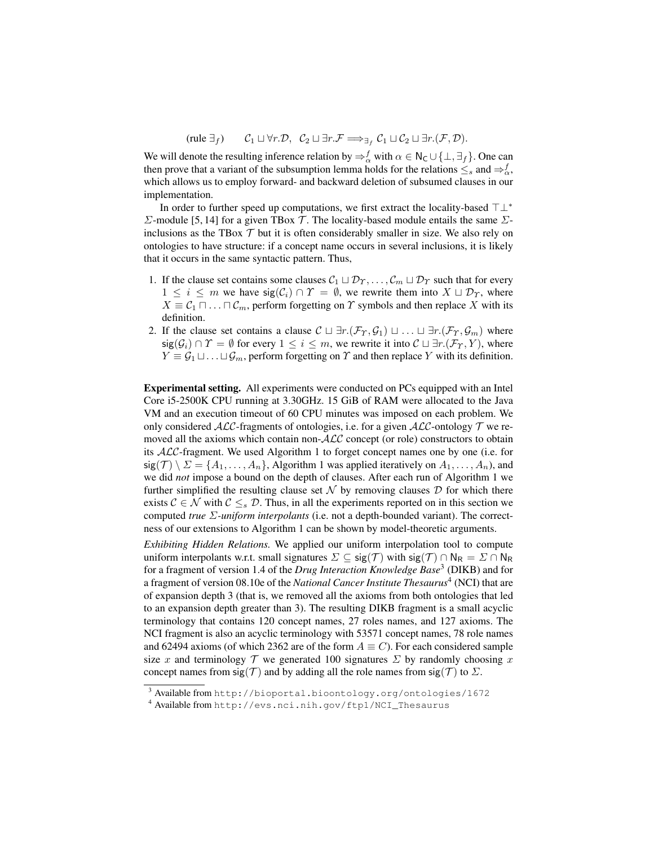(rule  $\exists_f$ )  $\mathcal{C}_1 \sqcup \forall r.\mathcal{D}, \mathcal{C}_2 \sqcup \exists r.\mathcal{F} \Longrightarrow_{\exists_f} \mathcal{C}_1 \sqcup \mathcal{C}_2 \sqcup \exists r.(\mathcal{F}, \mathcal{D}).$ 

We will denote the resulting inference relation by  $\Rightarrow_{\alpha}^{f}$  with  $\alpha \in N_C \cup \{\perp, \exists_f\}$ . One can then prove that a variant of the subsumption lemma holds for the relations  $\leq_s$  and  $\Rightarrow_{\alpha}^f$ , which allows us to employ forward- and backward deletion of subsumed clauses in our implementation.

In order to further speed up computations, we first extract the locality-based  $\top \bot^*$ Σ-module [5, 14] for a given TBox  $\mathcal T$ . The locality-based module entails the same Σinclusions as the TBox  $T$  but it is often considerably smaller in size. We also rely on ontologies to have structure: if a concept name occurs in several inclusions, it is likely that it occurs in the same syntactic pattern. Thus,

- 1. If the clause set contains some clauses  $C_1 \sqcup \mathcal{D}_T, \ldots, \mathcal{C}_m \sqcup \mathcal{D}_T$  such that for every  $1 \leq i \leq m$  we have  $sig(\mathcal{C}_i) \cap \mathcal{C} = \emptyset$ , we rewrite them into  $X \sqcup \mathcal{D}_\Upsilon$ , where  $X \equiv C_1 \sqcap \ldots \sqcap C_m$ , perform forgetting on  $\Upsilon$  symbols and then replace X with its definition.
- 2. If the clause set contains a clause  $\mathcal{C} \sqcup \exists r.(\mathcal{F}_{\gamma}, \mathcal{G}_1) \sqcup ... \sqcup \exists r.(\mathcal{F}_{\gamma}, \mathcal{G}_m)$  where  $sig(\mathcal{G}_i) \cap \Upsilon = \emptyset$  for every  $1 \leq i \leq m$ , we rewrite it into  $\mathcal{C} \sqcup \exists r.(\mathcal{F}_{\Upsilon}, Y)$ , where  $Y \equiv \mathcal{G}_1 \sqcup \ldots \sqcup \mathcal{G}_m$ , perform forgetting on  $\Upsilon$  and then replace Y with its definition.

Experimental setting. All experiments were conducted on PCs equipped with an Intel Core i5-2500K CPU running at 3.30GHz. 15 GiB of RAM were allocated to the Java VM and an execution timeout of 60 CPU minutes was imposed on each problem. We only considered  $ALC$ -fragments of ontologies, i.e. for a given  $ALC$ -ontology  $\mathcal T$  we removed all the axioms which contain non-ALC concept (or role) constructors to obtain its ALC-fragment. We used Algorithm 1 to forget concept names one by one (i.e. for  $sig(\mathcal{T}) \setminus \Sigma = \{A_1, \ldots, A_n\}$ , Algorithm 1 was applied iteratively on  $A_1, \ldots, A_n$ ), and we did *not* impose a bound on the depth of clauses. After each run of Algorithm 1 we further simplified the resulting clause set  $\mathcal N$  by removing clauses  $\mathcal D$  for which there exists  $C \in \mathcal{N}$  with  $C \leq_{s} \mathcal{D}$ . Thus, in all the experiments reported on in this section we computed *true* Σ*-uniform interpolants* (i.e. not a depth-bounded variant). The correctness of our extensions to Algorithm 1 can be shown by model-theoretic arguments.

*Exhibiting Hidden Relations.* We applied our uniform interpolation tool to compute uniform interpolants w.r.t. small signatures  $\Sigma \subseteq sig(\mathcal{T})$  with  $sig(\mathcal{T}) \cap N_R = \Sigma \cap N_R$ for a fragment of version 1.4 of the *Drug Interaction Knowledge Base*<sup>3</sup> (DIKB) and for a fragment of version 08.10e of the *National Cancer Institute Thesaurus*<sup>4</sup> (NCI) that are of expansion depth 3 (that is, we removed all the axioms from both ontologies that led to an expansion depth greater than 3). The resulting DIKB fragment is a small acyclic terminology that contains 120 concept names, 27 roles names, and 127 axioms. The NCI fragment is also an acyclic terminology with 53571 concept names, 78 role names and 62494 axioms (of which 2362 are of the form  $A \equiv C$ ). For each considered sample size x and terminology T we generated 100 signatures  $\Sigma$  by randomly choosing x concept names from sig(T) and by adding all the role names from sig(T) to  $\Sigma$ .

<sup>3</sup> Available from http://bioportal.bioontology.org/ontologies/1672

<sup>4</sup> Available from http://evs.nci.nih.gov/ftp1/NCI\_Thesaurus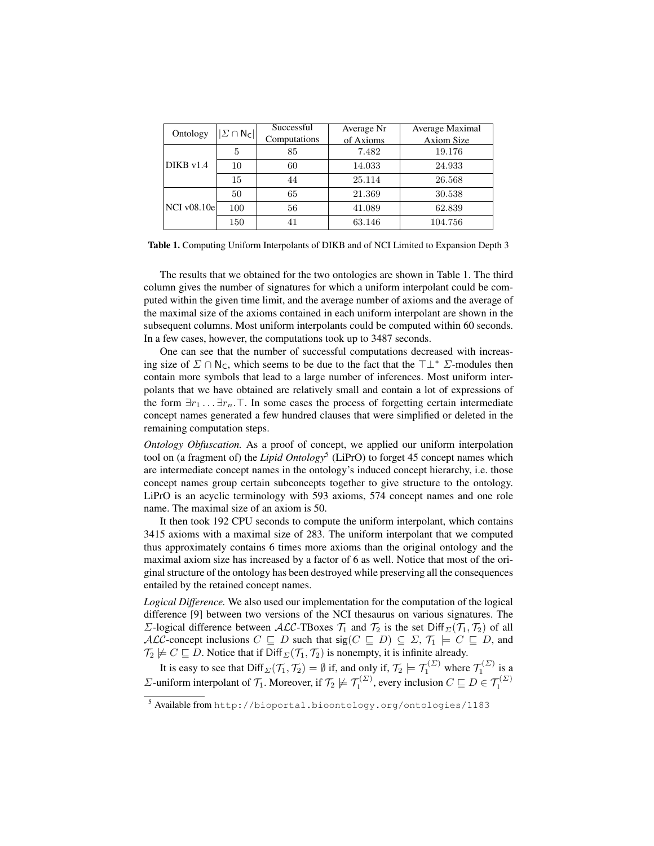| Ontology           | $ \varSigma \cap \mathsf{N}_\mathsf{C}  $ | Successful   | Average Nr | Average Maximal   |
|--------------------|-------------------------------------------|--------------|------------|-------------------|
|                    |                                           | Computations | of Axioms  | <b>Axiom Size</b> |
| $DIKB$ $v1.4$      | 5                                         | 85           | 7.482      | 19.176            |
|                    | 10                                        | 60           | 14.033     | 24.933            |
|                    | 15                                        | 44           | 25.114     | 26.568            |
| <b>NCI</b> v08.10e | 50                                        | 65           | 21.369     | 30.538            |
|                    | 100                                       | 56           | 41.089     | 62.839            |
|                    | 150                                       |              | 63.146     | 104.756           |

Table 1. Computing Uniform Interpolants of DIKB and of NCI Limited to Expansion Depth 3

The results that we obtained for the two ontologies are shown in Table 1. The third column gives the number of signatures for which a uniform interpolant could be computed within the given time limit, and the average number of axioms and the average of the maximal size of the axioms contained in each uniform interpolant are shown in the subsequent columns. Most uniform interpolants could be computed within 60 seconds. In a few cases, however, the computations took up to 3487 seconds.

One can see that the number of successful computations decreased with increasing size of  $\Sigma \cap N_C$ , which seems to be due to the fact that the  $\top \bot^* \Sigma$ -modules then contain more symbols that lead to a large number of inferences. Most uniform interpolants that we have obtained are relatively small and contain a lot of expressions of the form  $\exists r_1 \ldots \exists r_n \ldots$ . In some cases the process of forgetting certain intermediate concept names generated a few hundred clauses that were simplified or deleted in the remaining computation steps.

*Ontology Obfuscation.* As a proof of concept, we applied our uniform interpolation tool on (a fragment of) the *Lipid Ontology*<sup>5</sup> (LiPrO) to forget 45 concept names which are intermediate concept names in the ontology's induced concept hierarchy, i.e. those concept names group certain subconcepts together to give structure to the ontology. LiPrO is an acyclic terminology with 593 axioms, 574 concept names and one role name. The maximal size of an axiom is 50.

It then took 192 CPU seconds to compute the uniform interpolant, which contains 3415 axioms with a maximal size of 283. The uniform interpolant that we computed thus approximately contains 6 times more axioms than the original ontology and the maximal axiom size has increased by a factor of 6 as well. Notice that most of the original structure of the ontology has been destroyed while preserving all the consequences entailed by the retained concept names.

*Logical Difference.* We also used our implementation for the computation of the logical difference [9] between two versions of the NCI thesaurus on various signatures. The Σ-logical difference between ALC-TBoxes  $\mathcal{T}_1$  and  $\mathcal{T}_2$  is the set Diff<sub>Σ</sub>( $\mathcal{T}_1$ ,  $\mathcal{T}_2$ ) of all ALC-concept inclusions  $C \subseteq D$  such that  $sig(C \subseteq D) \subseteq \Sigma$ ,  $\mathcal{T}_1 \models C \subseteq D$ , and  $\mathcal{T}_2 \not\models C \sqsubseteq D$ . Notice that if Diff<sub> $\Sigma(\mathcal{T}_1, \mathcal{T}_2)$  is nonempty, it is infinite already.</sub>

It is easy to see that  $Diff_{\Sigma}(\mathcal{T}_1, \mathcal{T}_2) = \emptyset$  if, and only if,  $\mathcal{T}_2 \models \mathcal{T}_1^{(\Sigma)}$  where  $\mathcal{T}_1^{(\Sigma)}$  is a *Σ*-uniform interpolant of  $\mathcal{T}_1$ . Moreover, if  $\mathcal{T}_2 \not\models \mathcal{T}_1^{(\mathcal{Z})}$ , every inclusion  $C \sqsubseteq D \in \mathcal{T}_1^{(\mathcal{Z})}$ 

<sup>5</sup> Available from http://bioportal.bioontology.org/ontologies/1183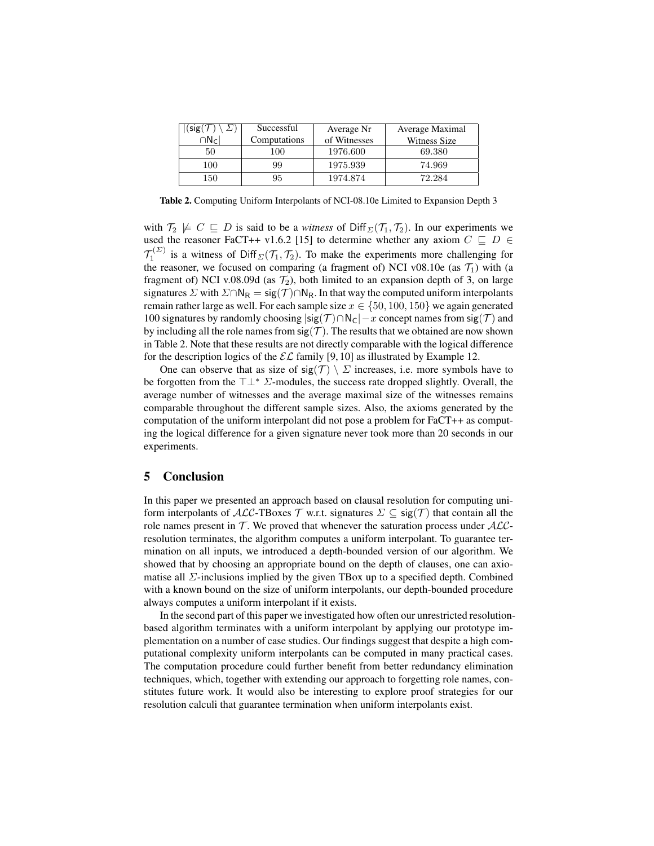| sig( | Successful   | Average Nr   | Average Maximal |
|------|--------------|--------------|-----------------|
|      | Computations | of Witnesses | Witness Size    |
| 50   | 100          | 1976.600     | 69.380          |
| 100  | 99           | 1975.939     | 74.969          |
| 150  | 95           | 1974.874     | 72.284          |

Table 2. Computing Uniform Interpolants of NCI-08.10e Limited to Expansion Depth 3

with  $\mathcal{T}_2 \not\models C \sqsubseteq D$  is said to be a *witness* of Diff<sub> $\Sigma(\mathcal{T}_1, \mathcal{T}_2)$ . In our experiments we</sub> used the reasoner FaCT++ v1.6.2 [15] to determine whether any axiom  $C \subseteq D \in$  $\mathcal{T}_1^{(\Sigma)}$  is a witness of Diff<sub> $\Sigma(\mathcal{T}_1, \mathcal{T}_2)$ </sub>. To make the experiments more challenging for the reasoner, we focused on comparing (a fragment of) NCI v08.10e (as  $\mathcal{T}_1$ ) with (a fragment of) NCI v.08.09d (as  $\mathcal{T}_2$ ), both limited to an expansion depth of 3, on large signatures  $\Sigma$  with  $\Sigma \cap N_R = \text{sig}(\mathcal{T}) \cap N_R$ . In that way the computed uniform interpolants remain rather large as well. For each sample size  $x \in \{50, 100, 150\}$  we again generated 100 signatures by randomly choosing  $|\text{sig}(\mathcal{T}) \cap N_{\mathcal{C}}| - x$  concept names from sig( $\mathcal{T}$ ) and by including all the role names from  $sig(\mathcal{T})$ . The results that we obtained are now shown in Table 2. Note that these results are not directly comparable with the logical difference for the description logics of the  $\mathcal{EL}$  family [9, 10] as illustrated by Example 12.

One can observe that as size of  $sig(\mathcal{T}) \setminus \Sigma$  increases, i.e. more symbols have to be forgotten from the  $\top \perp^* \Sigma$ -modules, the success rate dropped slightly. Overall, the average number of witnesses and the average maximal size of the witnesses remains comparable throughout the different sample sizes. Also, the axioms generated by the computation of the uniform interpolant did not pose a problem for FaCT++ as computing the logical difference for a given signature never took more than 20 seconds in our experiments.

## 5 Conclusion

In this paper we presented an approach based on clausal resolution for computing uniform interpolants of ALC-TBoxes T w.r.t. signatures  $\Sigma \subset \text{sig}(\mathcal{T})$  that contain all the role names present in  $\mathcal T$ . We proved that whenever the saturation process under  $\mathcal{ALC}$ resolution terminates, the algorithm computes a uniform interpolant. To guarantee termination on all inputs, we introduced a depth-bounded version of our algorithm. We showed that by choosing an appropriate bound on the depth of clauses, one can axiomatise all  $\Sigma$ -inclusions implied by the given TBox up to a specified depth. Combined with a known bound on the size of uniform interpolants, our depth-bounded procedure always computes a uniform interpolant if it exists.

In the second part of this paper we investigated how often our unrestricted resolutionbased algorithm terminates with a uniform interpolant by applying our prototype implementation on a number of case studies. Our findings suggest that despite a high computational complexity uniform interpolants can be computed in many practical cases. The computation procedure could further benefit from better redundancy elimination techniques, which, together with extending our approach to forgetting role names, constitutes future work. It would also be interesting to explore proof strategies for our resolution calculi that guarantee termination when uniform interpolants exist.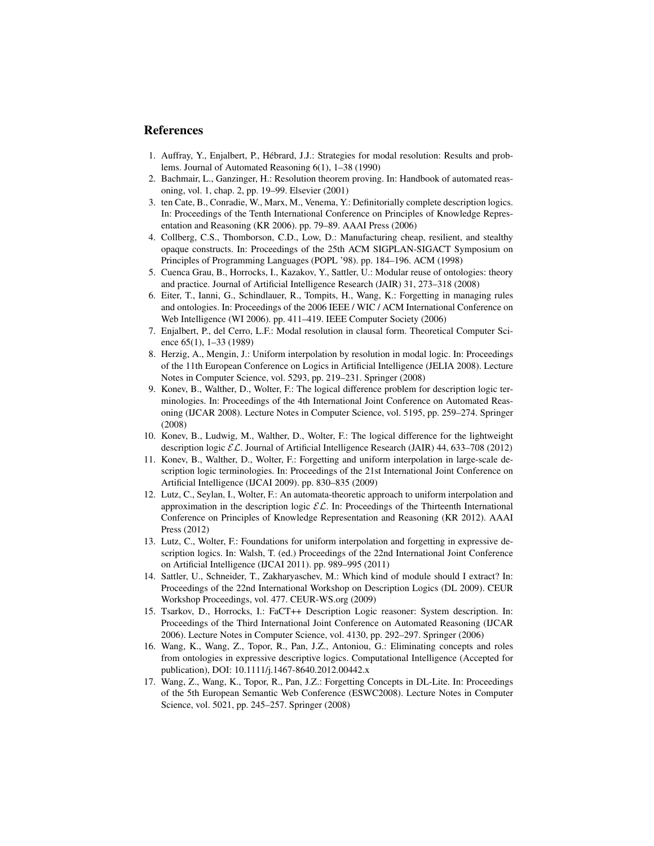## References

- 1. Auffray, Y., Enjalbert, P., Hebrard, J.J.: Strategies for modal resolution: Results and prob- ´ lems. Journal of Automated Reasoning 6(1), 1–38 (1990)
- 2. Bachmair, L., Ganzinger, H.: Resolution theorem proving. In: Handbook of automated reasoning, vol. 1, chap. 2, pp. 19–99. Elsevier (2001)
- 3. ten Cate, B., Conradie, W., Marx, M., Venema, Y.: Definitorially complete description logics. In: Proceedings of the Tenth International Conference on Principles of Knowledge Representation and Reasoning (KR 2006). pp. 79–89. AAAI Press (2006)
- 4. Collberg, C.S., Thomborson, C.D., Low, D.: Manufacturing cheap, resilient, and stealthy opaque constructs. In: Proceedings of the 25th ACM SIGPLAN-SIGACT Symposium on Principles of Programming Languages (POPL '98). pp. 184–196. ACM (1998)
- 5. Cuenca Grau, B., Horrocks, I., Kazakov, Y., Sattler, U.: Modular reuse of ontologies: theory and practice. Journal of Artificial Intelligence Research (JAIR) 31, 273–318 (2008)
- 6. Eiter, T., Ianni, G., Schindlauer, R., Tompits, H., Wang, K.: Forgetting in managing rules and ontologies. In: Proceedings of the 2006 IEEE / WIC / ACM International Conference on Web Intelligence (WI 2006). pp. 411–419. IEEE Computer Society (2006)
- 7. Enjalbert, P., del Cerro, L.F.: Modal resolution in clausal form. Theoretical Computer Science 65(1), 1–33 (1989)
- 8. Herzig, A., Mengin, J.: Uniform interpolation by resolution in modal logic. In: Proceedings of the 11th European Conference on Logics in Artificial Intelligence (JELIA 2008). Lecture Notes in Computer Science, vol. 5293, pp. 219–231. Springer (2008)
- 9. Konev, B., Walther, D., Wolter, F.: The logical difference problem for description logic terminologies. In: Proceedings of the 4th International Joint Conference on Automated Reasoning (IJCAR 2008). Lecture Notes in Computer Science, vol. 5195, pp. 259–274. Springer (2008)
- 10. Konev, B., Ludwig, M., Walther, D., Wolter, F.: The logical difference for the lightweight description logic  $\mathcal{EL}$ . Journal of Artificial Intelligence Research (JAIR) 44, 633–708 (2012)
- 11. Konev, B., Walther, D., Wolter, F.: Forgetting and uniform interpolation in large-scale description logic terminologies. In: Proceedings of the 21st International Joint Conference on Artificial Intelligence (IJCAI 2009). pp. 830–835 (2009)
- 12. Lutz, C., Seylan, I., Wolter, F.: An automata-theoretic approach to uniform interpolation and approximation in the description logic  $\mathcal{EL}$ . In: Proceedings of the Thirteenth International Conference on Principles of Knowledge Representation and Reasoning (KR 2012). AAAI Press (2012)
- 13. Lutz, C., Wolter, F.: Foundations for uniform interpolation and forgetting in expressive description logics. In: Walsh, T. (ed.) Proceedings of the 22nd International Joint Conference on Artificial Intelligence (IJCAI 2011). pp. 989–995 (2011)
- 14. Sattler, U., Schneider, T., Zakharyaschev, M.: Which kind of module should I extract? In: Proceedings of the 22nd International Workshop on Description Logics (DL 2009). CEUR Workshop Proceedings, vol. 477. CEUR-WS.org (2009)
- 15. Tsarkov, D., Horrocks, I.: FaCT++ Description Logic reasoner: System description. In: Proceedings of the Third International Joint Conference on Automated Reasoning (IJCAR 2006). Lecture Notes in Computer Science, vol. 4130, pp. 292–297. Springer (2006)
- 16. Wang, K., Wang, Z., Topor, R., Pan, J.Z., Antoniou, G.: Eliminating concepts and roles from ontologies in expressive descriptive logics. Computational Intelligence (Accepted for publication), DOI: 10.1111/j.1467-8640.2012.00442.x
- 17. Wang, Z., Wang, K., Topor, R., Pan, J.Z.: Forgetting Concepts in DL-Lite. In: Proceedings of the 5th European Semantic Web Conference (ESWC2008). Lecture Notes in Computer Science, vol. 5021, pp. 245–257. Springer (2008)